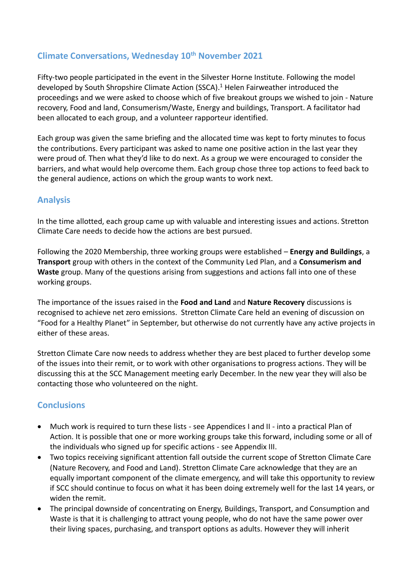# **Climate Conversations, Wednesday 10th November 2021**

Fifty-two people participated in the event in the Silvester Horne Institute. Following the model developed by South Shropshire Climate Action (SSCA). <sup>1</sup> Helen Fairweather introduced the proceedings and we were asked to choose which of five breakout groups we wished to join - Nature recovery, Food and land, Consumerism/Waste, Energy and buildings, Transport. A facilitator had been allocated to each group, and a volunteer rapporteur identified.

Each group was given the same briefing and the allocated time was kept to forty minutes to focus the contributions. Every participant was asked to name one positive action in the last year they were proud of. Then what they'd like to do next. As a group we were encouraged to consider the barriers, and what would help overcome them. Each group chose three top actions to feed back to the general audience, actions on which the group wants to work next.

## **Analysis**

In the time allotted, each group came up with valuable and interesting issues and actions. Stretton Climate Care needs to decide how the actions are best pursued.

Following the 2020 Membership, three working groups were established – **Energy and Buildings**, a **Transport** group with others in the context of the Community Led Plan, and a **Consumerism and Waste** group. Many of the questions arising from suggestions and actions fall into one of these working groups.

The importance of the issues raised in the **Food and Land** and **Nature Recovery** discussions is recognised to achieve net zero emissions. Stretton Climate Care held an evening of discussion on "Food for a Healthy Planet" in September, but otherwise do not currently have any active projects in either of these areas.

Stretton Climate Care now needs to address whether they are best placed to further develop some of the issues into their remit, or to work with other organisations to progress actions. They will be discussing this at the SCC Management meeting early December. In the new year they will also be contacting those who volunteered on the night.

### **Conclusions**

- Much work is required to turn these lists see Appendices I and II into a practical Plan of Action. It is possible that one or more working groups take this forward, including some or all of the individuals who signed up for specific actions - see Appendix III.
- Two topics receiving significant attention fall outside the current scope of Stretton Climate Care (Nature Recovery, and Food and Land). Stretton Climate Care acknowledge that they are an equally important component of the climate emergency, and will take this opportunity to review if SCC should continue to focus on what it has been doing extremely well for the last 14 years, or widen the remit.
- The principal downside of concentrating on Energy, Buildings, Transport, and Consumption and Waste is that it is challenging to attract young people, who do not have the same power over their living spaces, purchasing, and transport options as adults. However they will inherit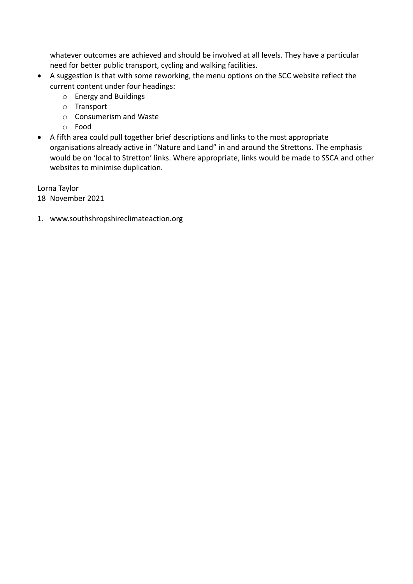whatever outcomes are achieved and should be involved at all levels. They have a particular need for better public transport, cycling and walking facilities.

- A suggestion is that with some reworking, the menu options on the SCC website reflect the current content under four headings:
	- o Energy and Buildings
	- o Transport
	- o Consumerism and Waste
	- o Food
- A fifth area could pull together brief descriptions and links to the most appropriate organisations already active in "Nature and Land" in and around the Strettons. The emphasis would be on 'local to Stretton' links. Where appropriate, links would be made to SSCA and other websites to minimise duplication.

Lorna Taylor 18 November 2021

1. www.southshropshireclimateaction.org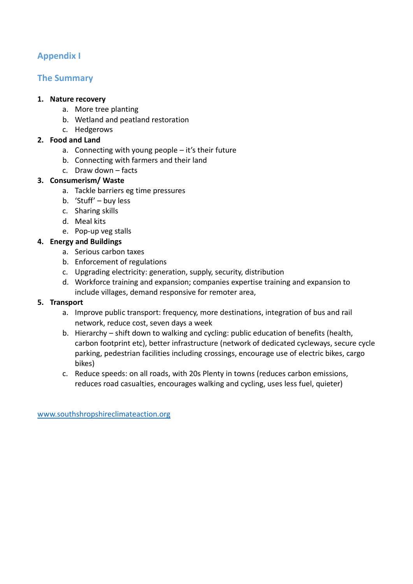# **Appendix I**

## **The Summary**

#### **1. Nature recovery**

- a. More tree planting
- b. Wetland and peatland restoration
- c. Hedgerows

#### **2. Food and Land**

- a. Connecting with young people it's their future
- b. Connecting with farmers and their land
- c. Draw down facts

#### **3. Consumerism/ Waste**

- a. Tackle barriers eg time pressures
- b. 'Stuff' buy less
- c. Sharing skills
- d. Meal kits
- e. Pop-up veg stalls

### **4. Energy and Buildings**

- a. Serious carbon taxes
- b. Enforcement of regulations
- c. Upgrading electricity: generation, supply, security, distribution
- d. Workforce training and expansion; companies expertise training and expansion to include villages, demand responsive for remoter area,

#### **5. Transport**

- a. Improve public transport: frequency, more destinations, integration of bus and rail network, reduce cost, seven days a week
- b. Hierarchy shift down to walking and cycling: public education of benefits (health, carbon footprint etc), better infrastructure (network of dedicated cycleways, secure cycle parking, pedestrian facilities including crossings, encourage use of electric bikes, cargo bikes)
- c. Reduce speeds: on all roads, with 20s Plenty in towns (reduces carbon emissions, reduces road casualties, encourages walking and cycling, uses less fuel, quieter)

[www.southshropshireclimateaction.org](http://www.southshropshireclimateaction.org/)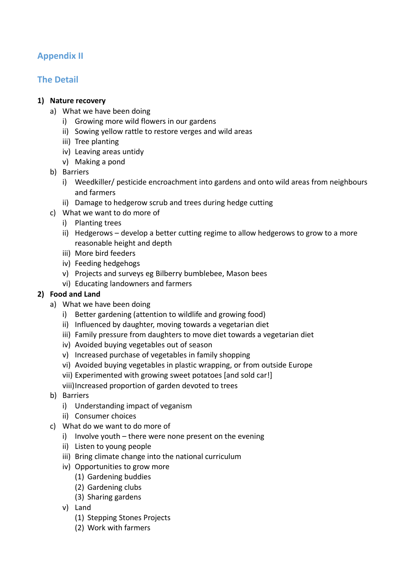# **Appendix II**

# **The Detail**

### **1) Nature recovery**

- a) What we have been doing
	- i) Growing more wild flowers in our gardens
	- ii) Sowing yellow rattle to restore verges and wild areas
	- iii) Tree planting
	- iv) Leaving areas untidy
	- v) Making a pond
- b) Barriers
	- i) Weedkiller/ pesticide encroachment into gardens and onto wild areas from neighbours and farmers
	- ii) Damage to hedgerow scrub and trees during hedge cutting
- c) What we want to do more of
	- i) Planting trees
	- ii) Hedgerows develop a better cutting regime to allow hedgerows to grow to a more reasonable height and depth
	- iii) More bird feeders
	- iv) Feeding hedgehogs
	- v) Projects and surveys eg Bilberry bumblebee, Mason bees
	- vi) Educating landowners and farmers

### **2) Food and Land**

- a) What we have been doing
	- i) Better gardening (attention to wildlife and growing food)
	- ii) Influenced by daughter, moving towards a vegetarian diet
	- iii) Family pressure from daughters to move diet towards a vegetarian diet
	- iv) Avoided buying vegetables out of season
	- v) Increased purchase of vegetables in family shopping
	- vi) Avoided buying vegetables in plastic wrapping, or from outside Europe
	- vii) Experimented with growing sweet potatoes [and sold car!]
	- viii)Increased proportion of garden devoted to trees
- b) Barriers
	- i) Understanding impact of veganism
	- ii) Consumer choices
- c) What do we want to do more of
	- i) Involve youth there were none present on the evening
	- ii) Listen to young people
	- iii) Bring climate change into the national curriculum
	- iv) Opportunities to grow more
		- (1) Gardening buddies
		- (2) Gardening clubs
		- (3) Sharing gardens
	- v) Land
		- (1) Stepping Stones Projects
		- (2) Work with farmers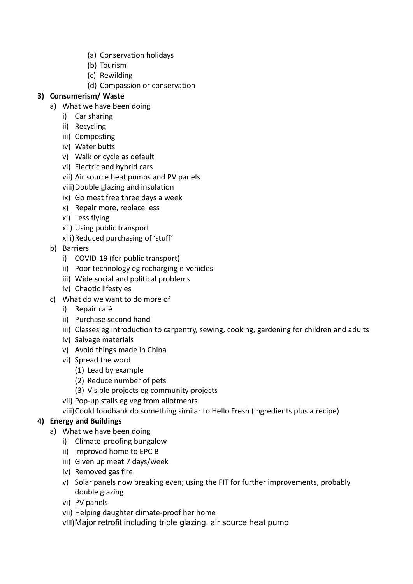- (a) Conservation holidays
- (b) Tourism
- (c) Rewilding
- (d) Compassion or conservation

## **3) Consumerism/ Waste**

- a) What we have been doing
	- i) Car sharing
	- ii) Recycling
	- iii) Composting
	- iv) Water butts
	- v) Walk or cycle as default
	- vi) Electric and hybrid cars
	- vii) Air source heat pumps and PV panels
	- viii)Double glazing and insulation
	- ix) Go meat free three days a week
	- x) Repair more, replace less
	- xi) Less flying
	- xii) Using public transport
	- xiii)Reduced purchasing of 'stuff'
- b) Barriers
	- i) COVID-19 (for public transport)
	- ii) Poor technology eg recharging e-vehicles
	- iii) Wide social and political problems
	- iv) Chaotic lifestyles
- c) What do we want to do more of
	- i) Repair café
	- ii) Purchase second hand
	- iii) Classes eg introduction to carpentry, sewing, cooking, gardening for children and adults
	- iv) Salvage materials
	- v) Avoid things made in China
	- vi) Spread the word
		- (1) Lead by example
		- (2) Reduce number of pets
		- (3) Visible projects eg community projects
	- vii) Pop-up stalls eg veg from allotments
	- viii)Could foodbank do something similar to Hello Fresh (ingredients plus a recipe)

### **4) Energy and Buildings**

- a) What we have been doing
	- i) Climate-proofing bungalow
	- ii) Improved home to EPC B
	- iii) Given up meat 7 days/week
	- iv) Removed gas fire
	- v) Solar panels now breaking even; using the FIT for further improvements, probably double glazing
	- vi) PV panels
	- vii) Helping daughter climate-proof her home

viii)Major retrofit including triple glazing, air source heat pump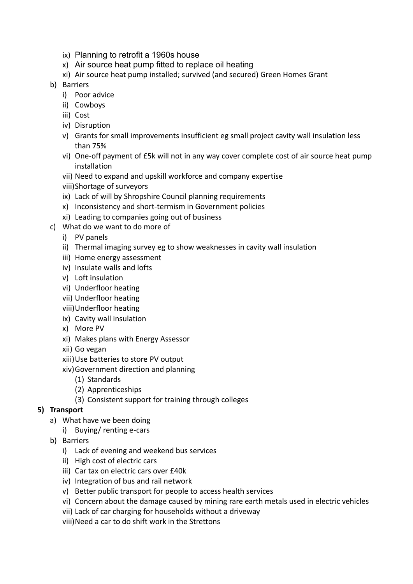- ix) Planning to retrofit a 1960s house
- x) Air source heat pump fitted to replace oil heating
- xi) Air source heat pump installed; survived (and secured) Green Homes Grant
- b) Barriers
	- i) Poor advice
	- ii) Cowboys
	- iii) Cost
	- iv) Disruption
	- v) Grants for small improvements insufficient eg small project cavity wall insulation less than 75%
	- vi) One-off payment of £5k will not in any way cover complete cost of air source heat pump installation
	- vii) Need to expand and upskill workforce and company expertise
	- viii)Shortage of surveyors
	- ix) Lack of will by Shropshire Council planning requirements
	- x) Inconsistency and short-termism in Government policies
	- xi) Leading to companies going out of business
- c) What do we want to do more of
	- i) PV panels
	- ii) Thermal imaging survey eg to show weaknesses in cavity wall insulation
	- iii) Home energy assessment
	- iv) Insulate walls and lofts
	- v) Loft insulation
	- vi) Underfloor heating
	- vii) Underfloor heating
	- viii)Underfloor heating
	- ix) Cavity wall insulation
	- x) More PV
	- xi) Makes plans with Energy Assessor
	- xii) Go vegan
	- xiii)Use batteries to store PV output
	- xiv)Government direction and planning
		- (1) Standards
		- (2) Apprenticeships
		- (3) Consistent support for training through colleges

#### **5) Transport**

- a) What have we been doing
	- i) Buying/ renting e-cars
- b) Barriers
	- i) Lack of evening and weekend bus services
	- ii) High cost of electric cars
	- iii) Car tax on electric cars over £40k
	- iv) Integration of bus and rail network
	- v) Better public transport for people to access health services
	- vi) Concern about the damage caused by mining rare earth metals used in electric vehicles
	- vii) Lack of car charging for households without a driveway
	- viii)Need a car to do shift work in the Strettons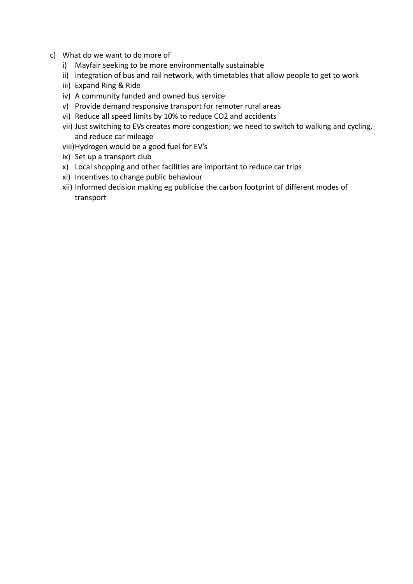- c) What do we want to do more of
	- i) Mayfair seeking to be more environmentally sustainable
	- ii) Integration of bus and rail network, with timetables that allow people to get to work
	- iii) Expand Ring & Ride
	- iv) A community funded and owned bus service
	- v) Provide demand responsive transport for remoter rural areas
	- vi) Reduce all speed limits by 10% to reduce CO2 and accidents
	- vii) Just switching to EVs creates more congestion; we need to switch to walking and cycling, and reduce car mileage
	- viii)Hydrogen would be a good fuel for EV's
	- ix) Set up a transport club
	- x) Local shopping and other facilities are important to reduce car trips
	- xi) Incentives to change public behaviour
	- xii) Informed decision making eg publicise the carbon footprint of different modes of transport